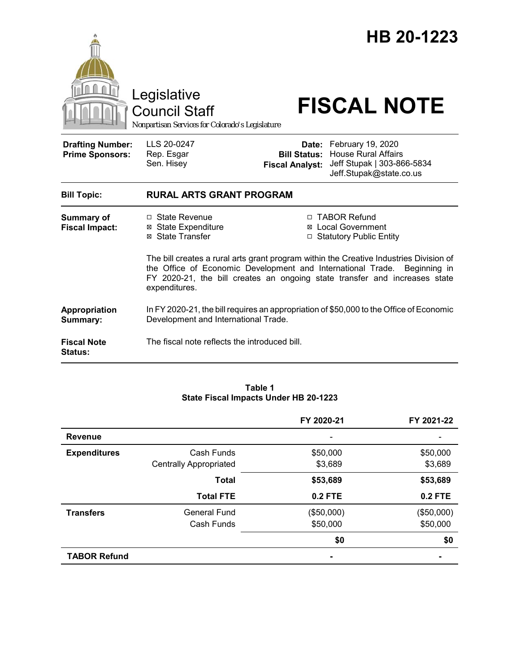|                                                   | Legislative<br><b>Council Staff</b><br>Nonpartisan Services for Colorado's Legislature                                                                                                                                                                            |                                               | HB 20-1223<br><b>FISCAL NOTE</b>                                                                               |
|---------------------------------------------------|-------------------------------------------------------------------------------------------------------------------------------------------------------------------------------------------------------------------------------------------------------------------|-----------------------------------------------|----------------------------------------------------------------------------------------------------------------|
| <b>Drafting Number:</b><br><b>Prime Sponsors:</b> | LLS 20-0247<br>Rep. Esgar<br>Sen. Hisey                                                                                                                                                                                                                           | <b>Bill Status:</b><br><b>Fiscal Analyst:</b> | Date: February 19, 2020<br><b>House Rural Affairs</b><br>Jeff Stupak   303-866-5834<br>Jeff.Stupak@state.co.us |
| <b>Bill Topic:</b>                                | <b>RURAL ARTS GRANT PROGRAM</b>                                                                                                                                                                                                                                   |                                               |                                                                                                                |
| Summary of<br><b>Fiscal Impact:</b>               | □ State Revenue<br><b>⊠</b> State Expenditure<br>⊠ State Transfer                                                                                                                                                                                                 |                                               | □ TABOR Refund<br><b>⊠</b> Local Government<br>□ Statutory Public Entity                                       |
|                                                   | The bill creates a rural arts grant program within the Creative Industries Division of<br>the Office of Economic Development and International Trade. Beginning in<br>FY 2020-21, the bill creates an ongoing state transfer and increases state<br>expenditures. |                                               |                                                                                                                |
| Appropriation<br>Summary:                         | In FY 2020-21, the bill requires an appropriation of \$50,000 to the Office of Economic<br>Development and International Trade.                                                                                                                                   |                                               |                                                                                                                |
| <b>Fiscal Note</b><br><b>Status:</b>              | The fiscal note reflects the introduced bill.                                                                                                                                                                                                                     |                                               |                                                                                                                |

### **Table 1 State Fiscal Impacts Under HB 20-1223**

|                     |                               | FY 2020-21     | FY 2021-22     |
|---------------------|-------------------------------|----------------|----------------|
| <b>Revenue</b>      |                               |                |                |
| <b>Expenditures</b> | Cash Funds                    | \$50,000       | \$50,000       |
|                     | <b>Centrally Appropriated</b> | \$3,689        | \$3,689        |
|                     | <b>Total</b>                  | \$53,689       | \$53,689       |
|                     | <b>Total FTE</b>              | 0.2 FTE        | <b>0.2 FTE</b> |
| <b>Transfers</b>    | <b>General Fund</b>           | (\$50,000)     | (\$50,000)     |
|                     | Cash Funds                    | \$50,000       | \$50,000       |
|                     |                               | \$0            | \$0            |
| <b>TABOR Refund</b> |                               | $\blacksquare$ |                |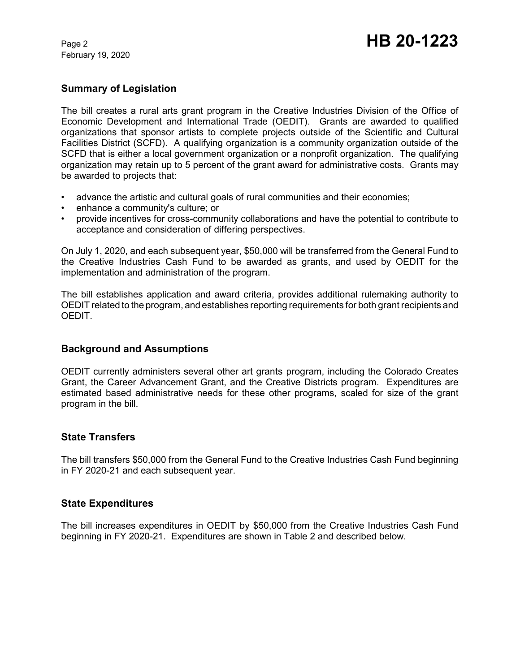February 19, 2020

# **Summary of Legislation**

The bill creates a rural arts grant program in the Creative Industries Division of the Office of Economic Development and International Trade (OEDIT). Grants are awarded to qualified organizations that sponsor artists to complete projects outside of the Scientific and Cultural Facilities District (SCFD). A qualifying organization is a community organization outside of the SCFD that is either a local government organization or a nonprofit organization. The qualifying organization may retain up to 5 percent of the grant award for administrative costs. Grants may be awarded to projects that:

- advance the artistic and cultural goals of rural communities and their economies;
- enhance a community's culture; or
- provide incentives for cross-community collaborations and have the potential to contribute to acceptance and consideration of differing perspectives.

On July 1, 2020, and each subsequent year, \$50,000 will be transferred from the General Fund to the Creative Industries Cash Fund to be awarded as grants, and used by OEDIT for the implementation and administration of the program.

The bill establishes application and award criteria, provides additional rulemaking authority to OEDIT related to the program, and establishes reporting requirements for both grant recipients and OEDIT.

## **Background and Assumptions**

OEDIT currently administers several other art grants program, including the Colorado Creates Grant, the Career Advancement Grant, and the Creative Districts program. Expenditures are estimated based administrative needs for these other programs, scaled for size of the grant program in the bill.

## **State Transfers**

The bill transfers \$50,000 from the General Fund to the Creative Industries Cash Fund beginning in FY 2020-21 and each subsequent year.

## **State Expenditures**

The bill increases expenditures in OEDIT by \$50,000 from the Creative Industries Cash Fund beginning in FY 2020-21. Expenditures are shown in Table 2 and described below.